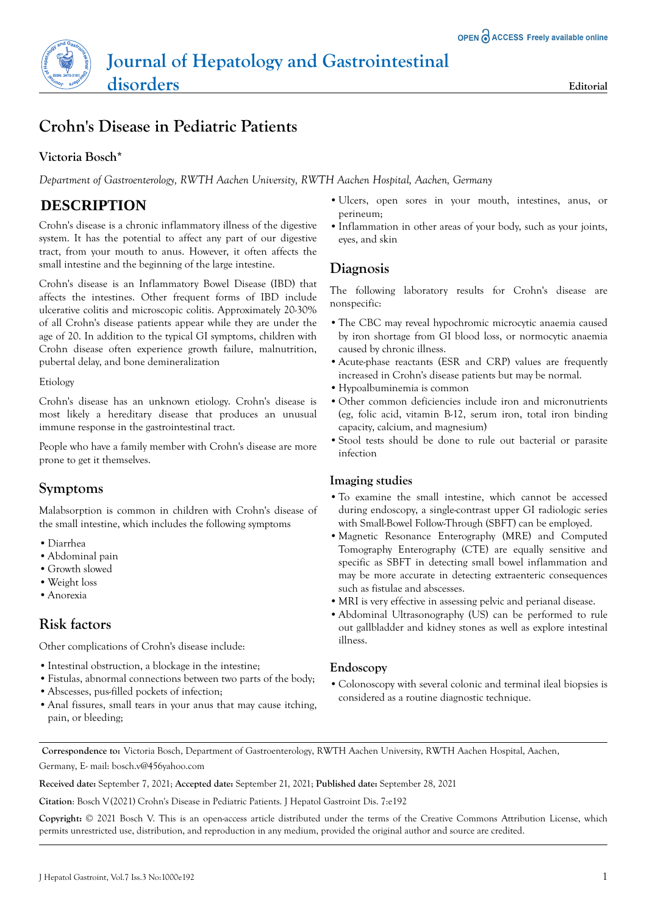# **Crohn's Disease in Pediatric Patients**

## **Victoria Bosch\***

*Department of Gastroenterology, RWTH Aachen University, RWTH Aachen Hospital, Aachen, Germany*

# **DESCRIPTION**

Crohn's disease is a chronic inflammatory illness of the digestive system. It has the potential to affect any part of our digestive tract, from your mouth to anus. However, it often affects the small intestine and the beginning of the large intestine.

Crohn's disease is an Inflammatory Bowel Disease (IBD) that affects the intestines. Other frequent forms of IBD include ulcerative colitis and microscopic colitis. Approximately 20-30% of all Crohn's disease patients appear while they are under the age of 20. In addition to the typical GI symptoms, children with Crohn disease often experience growth failure, malnutrition, pubertal delay, and bone demineralization

Etiology

Crohn's disease has an unknown etiology. Crohn's disease is most likely a hereditary disease that produces an unusual immune response in the gastrointestinal tract.

People who have a family member with Crohn's disease are more prone to get it themselves.

### **Symptoms**

Malabsorption is common in children with Crohn's disease of the small intestine, which includes the following symptoms

- **•**Diarrhea
- **•**Abdominal pain
- **•**Growth slowed
- **•**Weight loss
- **•**Anorexia

# **Risk factors**

Other complications of Crohn's disease include:

- **•**Intestinal obstruction, a blockage in the intestine;
- **•**Fistulas, abnormal connections between two parts of the body;
- **•**Abscesses, pus-filled pockets of infection;
- **•**Anal fissures, small tears in your anus that may cause itching, pain, or bleeding;
- **•**Ulcers, open sores in your mouth, intestines, anus, or perineum;
- **•**Inflammation in other areas of your body, such as your joints, eyes, and skin

# **Diagnosis**

The following laboratory results for Crohn's disease are nonspecific:

- **•**The CBC may reveal hypochromic microcytic anaemia caused by iron shortage from GI blood loss, or normocytic anaemia caused by chronic illness.
- **•**Acute-phase reactants (ESR and CRP) values are frequently increased in Crohn's disease patients but may be normal.
- **•**Hypoalbuminemia is common
- **•**Other common deficiencies include iron and micronutrients (eg, folic acid, vitamin B-12, serum iron, total iron binding capacity, calcium, and magnesium)
- **•**Stool tests should be done to rule out bacterial or parasite infection

#### **Imaging studies**

- **•**To examine the small intestine, which cannot be accessed during endoscopy, a single-contrast upper GI radiologic series with Small-Bowel Follow-Through (SBFT) can be employed.
- **•**Magnetic Resonance Enterography (MRE) and Computed Tomography Enterography (CTE) are equally sensitive and specific as SBFT in detecting small bowel inflammation and may be more accurate in detecting extraenteric consequences such as fistulae and abscesses.
- **•**MRI is very effective in assessing pelvic and perianal disease.
- **•**Abdominal Ultrasonography (US) can be performed to rule out gallbladder and kidney stones as well as explore intestinal illness.

#### **Endoscopy**

**•**Colonoscopy with several colonic and terminal ileal biopsies is considered as a routine diagnostic technique.

**Correspondence to:** Victoria Bosch, Department of Gastroenterology, RWTH Aachen University, RWTH Aachen Hospital, Aachen, Germany, E- mail: [bosch.v@456yahoo.com](www.bosch.v@456yahoo.com)

**Received date:** September 7, 2021; **Accepted date:** September 21, 2021; **Published date:** September 28, 2021

**Citation**: Bosch V(2021) Crohn's Disease in Pediatric Patients. J Hepatol Gastroint Dis. 7:e192

**Copyright:** © 2021 Bosch V. This is an open-access article distributed under the terms of the Creative Commons Attribution License, which permits unrestricted use, distribution, and reproduction in any medium, provided the original author and source are credited.